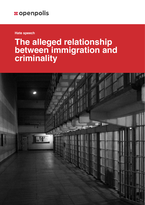**Hate speech**

# **The alleged relationship between immigration and criminality**

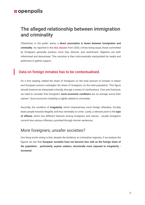## The alleged relationship between immigration and criminality

Oftentimes, in the public arena, a **direct association is drawn between immigration and criminality**. As reported in the **[Idos dossier](https://www.dossierimmigrazione.it/dossier-statistico-immigrazione-2020/)** from 2020, crimes being equal, those committed by foreigners generally produce more fear, distrust, and resentment. Migrants are both inferiorised and demonised. This narrative is then instrumentally manipulated by media and politicians to gather support.

#### Data on foreign inmates has to be contextualised.

On a first reading, indeed the share of foreigners on the total amount of inmates in Italian and European prisons outweighs the share of foreigners on the total population. This figure should however be interpreted critically, through a series of clarifications. First and foremost, we need to consider that foreigners' **socio-economic conditions** are on average worse than natives'. Socio-economic hardship is tightly related to criminality.

Secondly, the condition of **irregularity**, which characterises most foreign offenders, forcibly leads people towards illegality and thus inevitably to crime. Lastly, a relevant point is the **type of offense**, which has different features among foreigners and natives - usually foreigners commit less serious offenses, punished through shorter sentences.

## More foreigners, unsafer societies?

One thing worth noting is that, despite the tendency to criminalise migrants, if we analyse the figures we see that **European societies have not become less safe as the foreign share of the population - particularly, asylum seekers, structurally more exposed to irregularity increased.**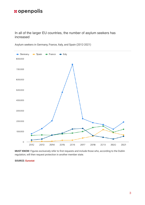In all of the larger EU countries, the number of asylum seekers has increased



Asylum seekers in Germany, France, Italy, and Spain (2012-2021)

**MUST KNOW:** Figures exclusively refer to first requests and include those who, according to the Dublin regulation, will then request protection in another member state.

**SOURCE: [Eurostat](https://appsso.eurostat.ec.europa.eu/nui/show.do?dataset=migr_asyappctza&lang=en)**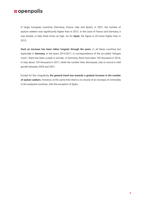In larger European countries (Germany, France, Italy and Spain), in 2021, the number of asylum seekers was significantly higher than in 2012. In the case of France and Germany, it was double, in Italy three times as high. As for **Spain**, the figure is 20 times higher than in 2012.

**Such an increase has been rather irregular through the years**. In all these countries but especially in **Germany**, in the years 2014-2017, in correspondence of the so-called "refugee crisis", there has been a peak in arrivals. In Germany, there have been 745 thousand in 2016, in Italy about 129 thousand in 2017, while the number then decreased, only to record a mild growth between 2020 and 2021.

Except for this irregularity, **the general trend was towards a gradual increase in the number of asylum seekers**. However, at the same time there is no record of an increase of criminality in the analysed countries, with the exception of Spain.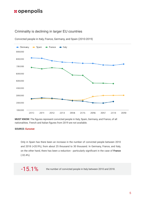#### Criminality is declining in larger EU countries



Convicted people in Italy, France, Germany, and Spain (2010-2019)

**MUST KNOW:** The figures represent convicted people in Italy, Spain, Germany, and France, of all nationalities. French and Italian figures from 2019 are not available.

#### **SOURCE: [Eurostat](https://ec.europa.eu/eurostat/databrowser/view/crim_just_ctz/default/table?lang=en)**

Only in Spain has there been an increase in the number of convicted people between 2010 and 2018 (+20.9%), from about 25 thousand to 30 thousand. In Germany, France, and Italy, on the other hand, there has been a reduction - particularly significant in the case of **France** (-32.4%).

 $-15.1\%$  the number of convicted people in Italy between 2010 and 2018.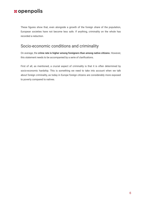These figures show that, even alongside a growth of the foreign share of the population, European societies have not become less safe. If anything, criminality on the whole has recorded a reduction.

## Socio-economic conditions and criminality

On average, the **crime rate is higher among foreigners than among native citizens**. However, this statement needs to be accompanied by a serie of clarifications.

First of all, as mentioned, a crucial aspect of criminality is that it is often determined by socio-economic hardship. This is something we need to take into account when we talk about foreign criminality, as today in Europe foreign citizens are considerably more exposed to poverty compared to natives.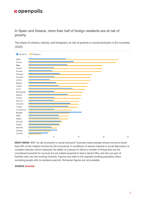#### In Spain and Greece, more than half of foreign residents are at risk of poverty

The share of citizens, natives, and foreigners, at risk of poverty or social exclusion in EU countries (2020)



**MUST KNOW:** With "at risk of poverty or social exclusion" Eurostat means people whose income is lower than 60% of the median income (at risk of poverty), in conditions of severe material or social deprivation (a complex indicator which measures the ability of a person to afford a number of things that are not considered essential for survival, but are indeed essential to lead a decent life), and who are part of families with very low working intensity. Figures only refer to the regularly residing population (thus excluding people with no residence permit). Romanian figures are not available.

#### **SOURCE: [Eurostat](http://appsso.eurostat.ec.europa.eu/nui/show.do?dataset=ilc_peps05&lang=en)**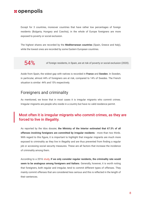Except for 3 countries, moreover countries that have rather low percentages of foreign residents (Bulgaria, Hungary and Czechia), in the whole of Europe foreigners are more exposed to poverty or social exclusion.

The highest shares are recorded by the **Mediterranean countries** (Spain, Greece and Italy), while the lowest ones are recorded by some Eastern European countries.

54% of foreign residents, in Spain, are at risk of poverty or social exclusion (2020).

Aside from Spain, the widest gap with natives is recorded in **France** and **Sweden**. In Sweden, in particular, almost 44% of foreigners are at risk, compared to 14% of Swedes. The French situation is similar: 44% and 15% respectively.

## Foreigners and criminality

As mentioned, we know that in most cases it is irregular migrants who commit crimes. Irregular migrants are people who reside in a country but have no valid residence permit.

### Most often it is irregular migrants who commit crimes, as they are forced to live in illegality.

As reported by the Idos dossier, **the Ministry of the Interior estimated that 67.5% of all offenses involving foreigners are committed by irregular residents** - more than two thirds. With regard to this figure, it is important to highlight that irregular migrants are much more exposed to criminality as they live in illegality and are thus prevented from finding a regular job or accessing social security measures. These are all factors that increase the incidence of criminality among them.

According to a 2016 [study,](https://www.penalecontemporaneo.it/upload/PALAZZO_2016c.pdf) **if we only consider regular residents, the criminality rate would seem to be analogous among foreigners and Italians**. Generally, however, it is worth noting that foreigners, both regular and irregular, tend to commit different types of offenses. They mainly commit offenses that are considered less serious and this is reflected in the length of their sentences.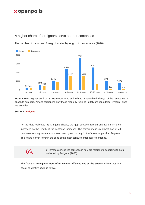#### A higher share of foreigners serve shorter sentences



The number of Italian and foreign inmates by length of the sentence (2020)

**MUST KNOW:** Figures are from 31 December 2020 and refer to inmates by the length of their sentence, in absolute numbers. Among foreigners, only those regularly residing in Italy are considered - irregular ones are excluded.

#### **SOURCE: [Antigone](https://www.rapportoantigone.it/diciassettesimo-rapporto-sulle-condizioni-di-detenzione/stranieri/)**

As the data collected by Antigone shows, the gap between foreign and Italian inmates increases as the length of the sentence increases. The former make up almost half of all detainees serving sentences shorter than 1 year but only 12% of those longer than 20 years. This figure is even lower in the case of the most serious sentence: life sentence.

 $6\%$  of inmates serving life sentence in Italy are foreigners, according to data<br>collected by Antigone (2020) collected by Antigone (2020).

The fact that **foreigners more often commit offenses out on the streets**, where they are easier to identify, adds up to this.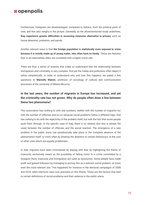Furthermore, foreigners are disadvantaged, compared to Italians, from the juridical point of view, and this also weighs in the picture. Generally, as the aforementioned study underlines, **they experience greater difficulties in accessing measures alternative to prisons**, such as house detention, probation, and parole.

Another relevant issue is that **the foreign population is statistically more exposed to crime because it is mostly made up of young males, who often have no family**. These are features that, in all nationalities alike, are correlated with a higher crime rate.

There are thus a series of reasons that make us understand that the relationship between immigration and criminality is very complex. And yet the media and politicians often depict it rather simplistically. In order to understand why and how this happens, we asked a few questions to **Marcello Maneri,** professor of sociology of cultural and communicative processes at the university of Milano-Bicocca.

#### **In the last years, the number of migrants in Europe has increased, and yet the criminality rate has not grown. Why do people often draw a line between these two phenomena?**

This association has nothing to with real numbers, neither with the number of migrants nor with the number of offenses and so on, because social problems follow a different logic, that has nothing to do with the objectivity of the problem itself, but with the fact that some people push them through. In the specific case of Italy, there is no relation (but this is always the case) between the number of offenses and the social reaction. The emergence of a new problem in the public arena can paradoxically take place in the complete absence of the phenomenon itself, or more often by drawing the attention to certain behaviours, at the cost of other ones which are equally problematic.

In Italy, migrants have been criminalised by playing with fear, by highlighting the theme of insecurity, exclusively meant as the possibility of falling victim to a crime committed by a foreigner (here, insecurity and immigration are used as synonyms). Some people have made profit and gained followers by managing to portray this as a relevant social problem, at times even the most relevant one. This happened for instance in the electoral campaigns of 2008 and 2018, when elections were won precisely on this theme. These are the factors that lead to certain definitions of social problems and their salience in the public arena.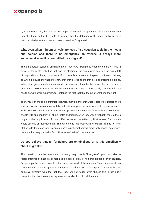If, on the other side, the political counterpart is not able to oppose an alternative discourse (and this happened in the whole of Europe), then the definition of the social problem easily becomes the hegemonic one, that everyone takes for granted.

#### **Why, even when migrant arrivals are less of a discussion topic in the media and politics and there is no emergency, an offense is always more sensational when it is committed by a migrant?**

There are certain cycles of criminalisation. They have taken place when the centre-left was in power or the centre-right had just won the elections. The centre-right accused the centre-left of do-goodery, of being too tolerant if not complicit or even an inspirer of migrants' crimes, so when in power, they need to show that they are using the iron fist and offering solutions. In technical governments you cannot do the same and thus the theme was less at the centre of attention. However, even when it was not, foreigners were always easily criminalised. This has to do with other dynamics, for instance the fact that this theme strengthens the right.

Then, you can make a distinction between marked and unmarked categories. Before there was any foreign immigration in Italy and before anyone became aware of the phenomenon, in the 80s, you could read on Italian newspapers news such as "honour killing: Southerner shoots wife and children", or about thefts and frauds, often they would highlight the Southern origin of the culprit, even if most offenses were committed by Northerners. But nobody would say this or make it salient. The same holds true today with foreigners. You do not hear "Italian kills, Italian shoots, Italian steals", it is not emphasised, made salient and memorised, because the category "Italian" (as "Northerner" before) is not marked.

#### **Do you believe that all foreigners are criminalised or is this specifically about migrants?**

This question can be interpreted in many ways. With "foreigners", you can refer to representatives of financial companies, so-called "expats", rich immigrants, or even tourists. But perhaps the answer would be the same one in all of these cases. There is a very strong component in racism against immigrants that does not have anything to do with their objective diversity, with the fact that they are not Italian, even though this is obviously present in the discourse about representation, identity, cultural threats etc.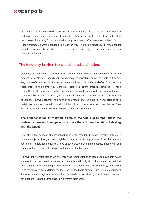Although it is often overlooked, a very important element is the fear of the poor or the stigma on the poor. Many representations of migrants in Italy are similar to those of the first half of the nineteenth century, for instance, with the phenomenon of urbanisation, in Paris. Victor Hugo's *misérables* were described in a similar way. There is a tendency, in very unequal societies, to fear those who are most deprived and might react and contest this subordinated position.

#### The tendency is often to naturalise subordination.

Secondly, the tendency is to naturalise this state of subordination and describe it not as the outcome of exploitative and discriminatory social relationships or lack of rights, but as the very nature of these people. Southerners were depicted as lazy, idle, and often foreigners are represented in the same way. Generally, there is a strong attention towards offenses committed by the poor and a certain carelessness when it comes to those, even systematic, committed by the rich. Of course, if they are celebrities, it is a topic, because it makes the headlines. However, generally the gaze of the media and the political world belongs to a certain social class. Journalists and politicians do not come from the lower classes. They look at the poor with fear, mistrust, and difficulty of understanding.

#### **The criminalisation of migrants exists in the whole of Europe, but is the problem addressed homogeneously or are there different models of dealing with the issue?**

First of all, the concept of criminalisation is even broader, it means creating potentially criminal subjects through norms, legislation, and institutional practices. From the moment you make immigration illegal, you have already created criminals, because people will still escape violence. This is already part of the criminalisation process.

However, if by criminalisation we only mean the representation of these people as criminal, if we refer to the discourse that connects criminality and immigration, then I must say that first of all there is no strictly comparative research (or at least I have not found any) that allows us to tell precisely what differences there are on the basis of data. But there is an abundant literature, even though not comparative, that leads us to believing that different countries have gone through the same phases in different moments.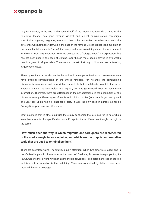Italy for instance, in the 90s, in the second half of the 2000s, and towards the end of the following decade, has gone through virulent and violent criminalisation campaigns specifically targeting migrants, more so than other countries. In other moments the difference was not that evident, as in the case of the famous Cologne rapes (one-millionth of the rapes that take place in Europe), that everyone knows something about. It was a moment in which, in Germany, migration were represented as a "refugee crisis", an expression that has not been used in the case of Ukraine, even though more people arrived in two weeks than in a year of refugee crisis. There was a context of strong political and social tension, largely constructed.

These dynamics exist in all countries but follow different periodisations and sometimes even have different configurations. In the United Kingdom, for instance, the criminalising discourse is even fiercer and more violent on tabloids, but broadsheets do not do the same, whereas in Italy it is less violent and explicit, but it is generalised, even in mainstream information. Therefore, there are differences in the periodisations, in the distribution of the discourse among different types of media and political parties (let us not forget that up until one year ago Spain had no xenophobic party, it was the only case in Europe, alongside Portugal), so yes, there are differences.

What counts is that in other countries there may be themes that are less felt in Italy, which leave less room for this specific discourse. Except for these differences, though, the logic is the same.

#### **How much does the way in which migrants and foreigners are represented in the media weigh, in your opinion, and which are the graphic and narrative tools that are used to criminalise them?**

There are countless ways. The first is, simply, attention. When two girls were raped, one in the Caffarella park in Rome, one in the town of Guidonia, by some foreign youths, *La Repubblica* (neither a right-wing nor a xenophobic newspaper) dedicated hundreds of articles to this event, so attention is the first thing. Violences committed by Italians have never received the same coverage.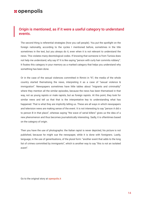### Origin is mentioned, as if it were a useful category to understand events.

The second thing is referential strategies (how you call people). You put the spotlight on the foreign nationality, according to the cycles I mentioned before, sometimes in the title sometimes in the text, but you always do it, even when it is not relevant to understand the news. This violates many deontological codes. If knowing that someone is from Tunisia does not help me understand, why say it? It is like saying "person with curly hair commits robbery". It fixates this category in your memory as a marked category that helps you understand why something has been done.

Or in the case of the sexual violences committed in Rimini in '97, the media of the whole country started thematising the news, interpreting it as a case of "sexual violence & immigration". Newspapers sometimes have little tables about "migrants and criminality" where they mention all the similar episodes, because the news has been thematised in that way, not as young rapists or male rapists, but as foreign rapists. At this point, they look for similar news and tell us that that is the interpretative key to understanding what has happened. That is what they are implicitly telling us. These are all ways in which newspapers and television news are making sense of the event. It is not interesting to say "person A did x to person B in that place", whereas saying "the wave of serial killers" gives us the idea of a new phenomenon and thus becomes journalistically interesting. Sadly, it is oftentimes based on the category of origin.

Then you have the use of photographs: the Italian rapist is never depicted, his picture is not published, because he might sue the newspaper, while it is done with foreigners. Lastly, language, in the use of generlisations, of the plural form: "another event that adds to the long list of crimes committed by immigrants", which is another way to say "this is not an isolated event".

Go to the original story at [openpolis.it](https://www.openpolis.it/la-strumentalizzazione-del-rapporto-tra-criminalita-e-migranti/)